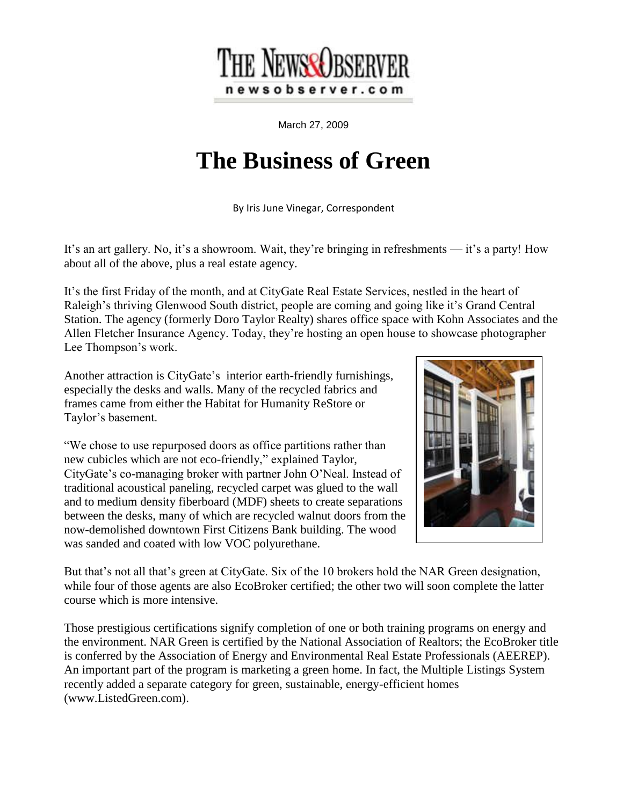

March 27, 2009

## **The Business of Green**

By Iris June Vinegar, Correspondent

It's an art gallery. No, it's a showroom. Wait, they're bringing in refreshments — it's a party! How about all of the above, plus a real estate agency.

It's the first Friday of the month, and at CityGate Real Estate Services, nestled in the heart of Raleigh's thriving Glenwood South district, people are coming and going like it's Grand Central Station. The agency (formerly Doro Taylor Realty) shares office space with Kohn Associates and the Allen Fletcher Insurance Agency. Today, they're hosting an open house to showcase photographer Lee Thompson's work.

Another attraction is CityGate's interior earth-friendly furnishings, especially the desks and walls. Many of the recycled fabrics and frames came from either the Habitat for Humanity ReStore or Taylor's basement.

"We chose to use repurposed doors as office partitions rather than new cubicles which are not eco-friendly," explained Taylor, CityGate's co-managing broker with partner John O'Neal. Instead of traditional acoustical paneling, recycled carpet was glued to the wall and to medium density fiberboard (MDF) sheets to create separations between the desks, many of which are recycled walnut doors from the now-demolished downtown First Citizens Bank building. The wood was sanded and coated with low VOC polyurethane.



But that's not all that's green at CityGate. Six of the 10 brokers hold the NAR Green designation, while four of those agents are also EcoBroker certified; the other two will soon complete the latter course which is more intensive.

Those prestigious certifications signify completion of one or both training programs on energy and the environment. NAR Green is certified by the National Association of Realtors; the EcoBroker title is conferred by the Association of Energy and Environmental Real Estate Professionals (AEEREP). An important part of the program is marketing a green home. In fact, the Multiple Listings System recently added a separate category for green, sustainable, energy-efficient homes (www.ListedGreen.com).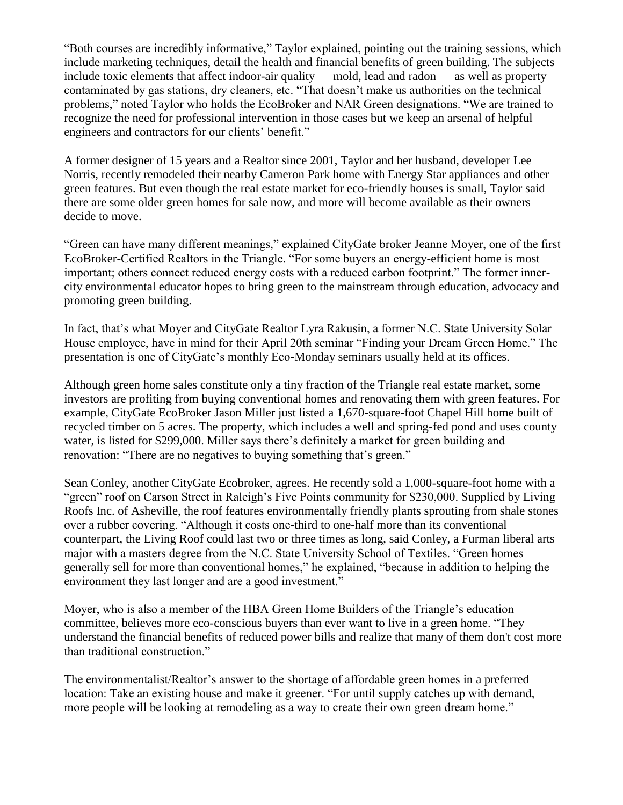"Both courses are incredibly informative," Taylor explained, pointing out the training sessions, which include marketing techniques, detail the health and financial benefits of green building. The subjects include toxic elements that affect indoor-air quality — mold, lead and radon — as well as property contaminated by gas stations, dry cleaners, etc. "That doesn't make us authorities on the technical problems," noted Taylor who holds the EcoBroker and NAR Green designations. "We are trained to recognize the need for professional intervention in those cases but we keep an arsenal of helpful engineers and contractors for our clients' benefit."

A former designer of 15 years and a Realtor since 2001, Taylor and her husband, developer Lee Norris, recently remodeled their nearby Cameron Park home with Energy Star appliances and other green features. But even though the real estate market for eco-friendly houses is small, Taylor said there are some older green homes for sale now, and more will become available as their owners decide to move.

"Green can have many different meanings," explained CityGate broker Jeanne Moyer, one of the first EcoBroker-Certified Realtors in the Triangle. "For some buyers an energy-efficient home is most important; others connect reduced energy costs with a reduced carbon footprint." The former innercity environmental educator hopes to bring green to the mainstream through education, advocacy and promoting green building.

In fact, that's what Moyer and CityGate Realtor Lyra Rakusin, a former N.C. State University Solar House employee, have in mind for their April 20th seminar "Finding your Dream Green Home." The presentation is one of CityGate's monthly Eco-Monday seminars usually held at its offices.

Although green home sales constitute only a tiny fraction of the Triangle real estate market, some investors are profiting from buying conventional homes and renovating them with green features. For example, CityGate EcoBroker Jason Miller just listed a 1,670-square-foot Chapel Hill home built of recycled timber on 5 acres. The property, which includes a well and spring-fed pond and uses county water, is listed for \$299,000. Miller says there's definitely a market for green building and renovation: "There are no negatives to buying something that's green."

Sean Conley, another CityGate Ecobroker, agrees. He recently sold a 1,000-square-foot home with a "green" roof on Carson Street in Raleigh's Five Points community for \$230,000. Supplied by Living Roofs Inc. of Asheville, the roof features environmentally friendly plants sprouting from shale stones over a rubber covering. "Although it costs one-third to one-half more than its conventional counterpart, the Living Roof could last two or three times as long, said Conley, a Furman liberal arts major with a masters degree from the N.C. State University School of Textiles. "Green homes generally sell for more than conventional homes," he explained, "because in addition to helping the environment they last longer and are a good investment."

Moyer, who is also a member of the HBA Green Home Builders of the Triangle's education committee, believes more eco-conscious buyers than ever want to live in a green home. "They understand the financial benefits of reduced power bills and realize that many of them don't cost more than traditional construction."

The environmentalist/Realtor's answer to the shortage of affordable green homes in a preferred location: Take an existing house and make it greener. "For until supply catches up with demand, more people will be looking at remodeling as a way to create their own green dream home."